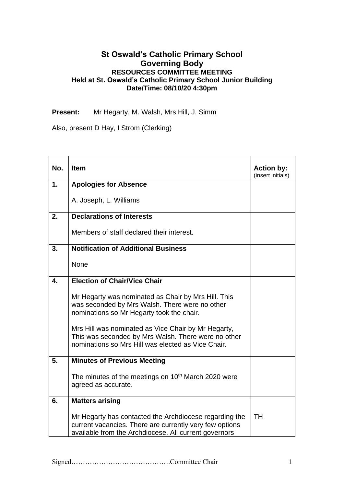## **St Oswald's Catholic Primary School Governing Body RESOURCES COMMITTEE MEETING Held at St. Oswald's Catholic Primary School Junior Building Date/Time: 08/10/20 4:30pm**

**Present:** Mr Hegarty, M. Walsh, Mrs Hill, J. Simm

Also, present D Hay, I Strom (Clerking)

| No. | <b>Item</b>                                                                                                                                                                | <b>Action by:</b><br>(insert initials) |
|-----|----------------------------------------------------------------------------------------------------------------------------------------------------------------------------|----------------------------------------|
| 1.  | <b>Apologies for Absence</b>                                                                                                                                               |                                        |
|     | A. Joseph, L. Williams                                                                                                                                                     |                                        |
| 2.  | <b>Declarations of Interests</b>                                                                                                                                           |                                        |
|     | Members of staff declared their interest.                                                                                                                                  |                                        |
| 3.  | <b>Notification of Additional Business</b>                                                                                                                                 |                                        |
|     | None                                                                                                                                                                       |                                        |
| 4.  | <b>Election of Chair/Vice Chair</b>                                                                                                                                        |                                        |
|     | Mr Hegarty was nominated as Chair by Mrs Hill. This<br>was seconded by Mrs Walsh. There were no other<br>nominations so Mr Hegarty took the chair.                         |                                        |
|     | Mrs Hill was nominated as Vice Chair by Mr Hegarty,<br>This was seconded by Mrs Walsh. There were no other<br>nominations so Mrs Hill was elected as Vice Chair.           |                                        |
| 5.  | <b>Minutes of Previous Meeting</b>                                                                                                                                         |                                        |
|     | The minutes of the meetings on 10 <sup>th</sup> March 2020 were<br>agreed as accurate.                                                                                     |                                        |
| 6.  | <b>Matters arising</b>                                                                                                                                                     |                                        |
|     | Mr Hegarty has contacted the Archdiocese regarding the<br>current vacancies. There are currently very few options<br>available from the Archdiocese. All current governors | <b>TH</b>                              |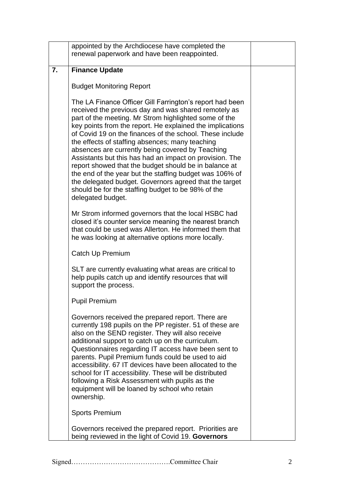|    | appointed by the Archdiocese have completed the<br>renewal paperwork and have been reappointed.                                                                                                                                                                                                                                                                                                                                                                                                                                                                                                                                                                                                                               |  |
|----|-------------------------------------------------------------------------------------------------------------------------------------------------------------------------------------------------------------------------------------------------------------------------------------------------------------------------------------------------------------------------------------------------------------------------------------------------------------------------------------------------------------------------------------------------------------------------------------------------------------------------------------------------------------------------------------------------------------------------------|--|
| 7. | <b>Finance Update</b>                                                                                                                                                                                                                                                                                                                                                                                                                                                                                                                                                                                                                                                                                                         |  |
|    | <b>Budget Monitoring Report</b>                                                                                                                                                                                                                                                                                                                                                                                                                                                                                                                                                                                                                                                                                               |  |
|    | The LA Finance Officer Gill Farrington's report had been<br>received the previous day and was shared remotely as<br>part of the meeting. Mr Strom highlighted some of the<br>key points from the report. He explained the implications<br>of Covid 19 on the finances of the school. These include<br>the effects of staffing absences; many teaching<br>absences are currently being covered by Teaching<br>Assistants but this has had an impact on provision. The<br>report showed that the budget should be in balance at<br>the end of the year but the staffing budget was 106% of<br>the delegated budget. Governors agreed that the target<br>should be for the staffing budget to be 98% of the<br>delegated budget. |  |
|    | Mr Strom informed governors that the local HSBC had<br>closed it's counter service meaning the nearest branch<br>that could be used was Allerton. He informed them that<br>he was looking at alternative options more locally.                                                                                                                                                                                                                                                                                                                                                                                                                                                                                                |  |
|    | Catch Up Premium                                                                                                                                                                                                                                                                                                                                                                                                                                                                                                                                                                                                                                                                                                              |  |
|    | SLT are currently evaluating what areas are critical to<br>help pupils catch up and identify resources that will<br>support the process.                                                                                                                                                                                                                                                                                                                                                                                                                                                                                                                                                                                      |  |
|    | <b>Pupil Premium</b>                                                                                                                                                                                                                                                                                                                                                                                                                                                                                                                                                                                                                                                                                                          |  |
|    | Governors received the prepared report. There are<br>currently 198 pupils on the PP register. 51 of these are<br>also on the SEND register. They will also receive<br>additional support to catch up on the curriculum.<br>Questionnaires regarding IT access have been sent to<br>parents. Pupil Premium funds could be used to aid<br>accessibility. 67 IT devices have been allocated to the<br>school for IT accessibility. These will be distributed<br>following a Risk Assessment with pupils as the<br>equipment will be loaned by school who retain<br>ownership.                                                                                                                                                    |  |
|    | <b>Sports Premium</b>                                                                                                                                                                                                                                                                                                                                                                                                                                                                                                                                                                                                                                                                                                         |  |
|    | Governors received the prepared report. Priorities are<br>being reviewed in the light of Covid 19. Governors                                                                                                                                                                                                                                                                                                                                                                                                                                                                                                                                                                                                                  |  |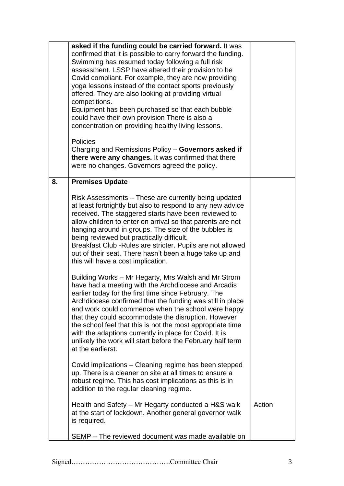|    | asked if the funding could be carried forward. It was<br>confirmed that it is possible to carry forward the funding.<br>Swimming has resumed today following a full risk<br>assessment. LSSP have altered their provision to be<br>Covid compliant. For example, they are now providing<br>yoga lessons instead of the contact sports previously<br>offered. They are also looking at providing virtual<br>competitions.<br>Equipment has been purchased so that each bubble<br>could have their own provision There is also a<br>concentration on providing healthy living lessons.<br><b>Policies</b><br>Charging and Remissions Policy - Governors asked if<br>there were any changes. It was confirmed that there<br>were no changes. Governors agreed the policy. |        |
|----|------------------------------------------------------------------------------------------------------------------------------------------------------------------------------------------------------------------------------------------------------------------------------------------------------------------------------------------------------------------------------------------------------------------------------------------------------------------------------------------------------------------------------------------------------------------------------------------------------------------------------------------------------------------------------------------------------------------------------------------------------------------------|--------|
| 8. | <b>Premises Update</b>                                                                                                                                                                                                                                                                                                                                                                                                                                                                                                                                                                                                                                                                                                                                                 |        |
|    | Risk Assessments – These are currently being updated<br>at least fortnightly but also to respond to any new advice<br>received. The staggered starts have been reviewed to<br>allow children to enter on arrival so that parents are not<br>hanging around in groups. The size of the bubbles is<br>being reviewed but practically difficult.<br>Breakfast Club - Rules are stricter. Pupils are not allowed<br>out of their seat. There hasn't been a huge take up and<br>this will have a cost implication.                                                                                                                                                                                                                                                          |        |
|    | Building Works – Mr Hegarty, Mrs Walsh and Mr Strom<br>have had a meeting with the Archdiocese and Arcadis<br>earlier today for the first time since February. The<br>Archdiocese confirmed that the funding was still in place<br>and work could commence when the school were happy<br>that they could accommodate the disruption. However<br>the school feel that this is not the most appropriate time<br>with the adaptions currently in place for Covid. It is<br>unlikely the work will start before the February half term<br>at the earlierst.                                                                                                                                                                                                                |        |
|    | Covid implications – Cleaning regime has been stepped<br>up. There is a cleaner on site at all times to ensure a<br>robust regime. This has cost implications as this is in<br>addition to the regular cleaning regime.                                                                                                                                                                                                                                                                                                                                                                                                                                                                                                                                                |        |
|    | Health and Safety – Mr Hegarty conducted a H&S walk<br>at the start of lockdown. Another general governor walk<br>is required.                                                                                                                                                                                                                                                                                                                                                                                                                                                                                                                                                                                                                                         | Action |
|    | SEMP – The reviewed document was made available on                                                                                                                                                                                                                                                                                                                                                                                                                                                                                                                                                                                                                                                                                                                     |        |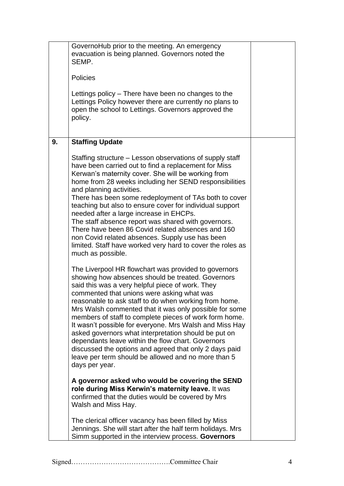|    | GovernoHub prior to the meeting. An emergency<br>evacuation is being planned. Governors noted the<br>SEMP.<br><b>Policies</b><br>Lettings policy – There have been no changes to the<br>Lettings Policy however there are currently no plans to<br>open the school to Lettings. Governors approved the<br>policy.                                                                                                                                                                                                                                                                                                                                                                                   |  |
|----|-----------------------------------------------------------------------------------------------------------------------------------------------------------------------------------------------------------------------------------------------------------------------------------------------------------------------------------------------------------------------------------------------------------------------------------------------------------------------------------------------------------------------------------------------------------------------------------------------------------------------------------------------------------------------------------------------------|--|
| 9. | <b>Staffing Update</b>                                                                                                                                                                                                                                                                                                                                                                                                                                                                                                                                                                                                                                                                              |  |
|    | Staffing structure – Lesson observations of supply staff<br>have been carried out to find a replacement for Miss<br>Kerwan's maternity cover. She will be working from<br>home from 28 weeks including her SEND responsibilities<br>and planning activities.<br>There has been some redeployment of TAs both to cover<br>teaching but also to ensure cover for individual support<br>needed after a large increase in EHCPs.<br>The staff absence report was shared with governors.<br>There have been 86 Covid related absences and 160<br>non Covid related absences. Supply use has been<br>limited. Staff have worked very hard to cover the roles as<br>much as possible.                      |  |
|    | The Liverpool HR flowchart was provided to governors<br>showing how absences should be treated. Governors<br>said this was a very helpful piece of work. They<br>commented that unions were asking what was<br>reasonable to ask staff to do when working from home.<br>Mrs Walsh commented that it was only possible for some<br>members of staff to complete pieces of work form home.<br>It wasn't possible for everyone. Mrs Walsh and Miss Hay<br>asked governors what interpretation should be put on<br>dependants leave within the flow chart. Governors<br>discussed the options and agreed that only 2 days paid<br>leave per term should be allowed and no more than 5<br>days per year. |  |
|    | A governor asked who would be covering the SEND<br>role during Miss Kerwin's maternity leave. It was<br>confirmed that the duties would be covered by Mrs<br>Walsh and Miss Hay.                                                                                                                                                                                                                                                                                                                                                                                                                                                                                                                    |  |
|    | The clerical officer vacancy has been filled by Miss<br>Jennings. She will start after the half term holidays. Mrs<br>Simm supported in the interview process. Governors                                                                                                                                                                                                                                                                                                                                                                                                                                                                                                                            |  |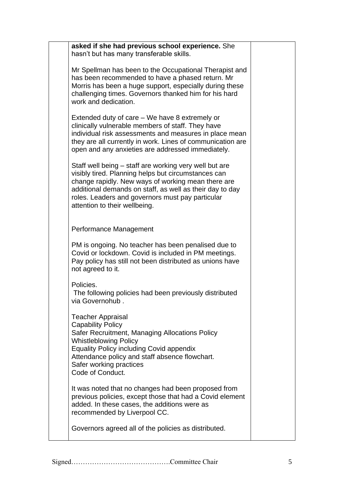| asked if she had previous school experience. She<br>hasn't but has many transferable skills.                                                                                                                                                                                                                         |  |
|----------------------------------------------------------------------------------------------------------------------------------------------------------------------------------------------------------------------------------------------------------------------------------------------------------------------|--|
| Mr Spellman has been to the Occupational Therapist and<br>has been recommended to have a phased return. Mr<br>Morris has been a huge support, especially during these<br>challenging times. Governors thanked him for his hard<br>work and dedication.                                                               |  |
| Extended duty of care – We have 8 extremely or<br>clinically vulnerable members of staff. They have<br>individual risk assessments and measures in place mean<br>they are all currently in work. Lines of communication are<br>open and any anxieties are addressed immediately.                                     |  |
| Staff well being – staff are working very well but are<br>visibly tired. Planning helps but circumstances can<br>change rapidly. New ways of working mean there are<br>additional demands on staff, as well as their day to day<br>roles. Leaders and governors must pay particular<br>attention to their wellbeing. |  |
| Performance Management                                                                                                                                                                                                                                                                                               |  |
| PM is ongoing. No teacher has been penalised due to<br>Covid or lockdown. Covid is included in PM meetings.<br>Pay policy has still not been distributed as unions have<br>not agreed to it.                                                                                                                         |  |
| Policies.<br>The following policies had been previously distributed<br>via Governohub.                                                                                                                                                                                                                               |  |
| <b>Teacher Appraisal</b><br><b>Capability Policy</b><br>Safer Recruitment, Managing Allocations Policy<br><b>Whistleblowing Policy</b><br><b>Equality Policy including Covid appendix</b><br>Attendance policy and staff absence flowchart.<br>Safer working practices<br>Code of Conduct.                           |  |
| It was noted that no changes had been proposed from<br>previous policies, except those that had a Covid element<br>added. In these cases, the additions were as<br>recommended by Liverpool CC.                                                                                                                      |  |
| Governors agreed all of the policies as distributed.                                                                                                                                                                                                                                                                 |  |